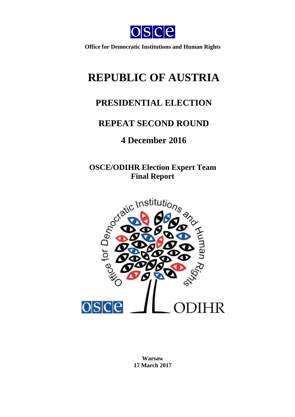

**Office for Democratic Institutions and Human Rights**

# **REPUBLIC OF AUSTRIA**

## **PRESIDENTIAL ELECTION**

## **REPEAT SECOND ROUND**

## **4 December 2016**

**OSCE/ODIHR Election Expert Team Final Report**



**Warsaw 17 March 2017**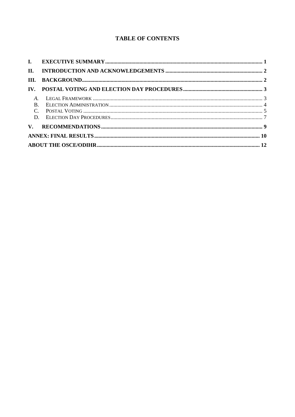## **TABLE OF CONTENTS**

| П.                    |  |
|-----------------------|--|
| III.                  |  |
| $\mathbf{IV}_{\cdot}$ |  |
|                       |  |
| $\mathbf{B}$ .        |  |
|                       |  |
|                       |  |
|                       |  |
|                       |  |
|                       |  |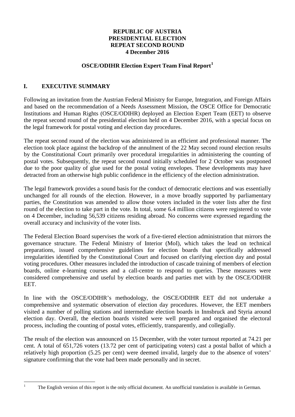### **REPUBLIC OF AUSTRIA PRESIDENTIAL ELECTION REPEAT SECOND ROUND 4 December 2016**

## **OSCE/ODIHR Election Expert Team Final Report[1](#page-2-1)**

## <span id="page-2-0"></span>**I. EXECUTIVE SUMMARY**

Following an invitation from the Austrian Federal Ministry for Europe, Integration, and Foreign Affairs and based on the recommendation of a Needs Assessment Mission, the OSCE Office for Democratic Institutions and Human Rights (OSCE/ODIHR) deployed an Election Expert Team (EET) to observe the repeat second round of the presidential election held on 4 December 2016, with a special focus on the legal framework for postal voting and election day procedures.

The repeat second round of the election was administered in an efficient and professional manner. The election took place against the backdrop of the annulment of the 22 May second round election results by the Constitutional Court primarily over procedural irregularities in administering the counting of postal votes. Subsequently, the repeat second round initially scheduled for 2 October was postponed due to the poor quality of glue used for the postal voting envelopes. These developments may have detracted from an otherwise high public confidence in the efficiency of the election administration.

The legal framework provides a sound basis for the conduct of democratic elections and was essentially unchanged for all rounds of the election. However, in a move broadly supported by parliamentary parties, the Constitution was amended to allow those voters included in the voter lists after the first round of the election to take part in the vote. In total, some 6.4 million citizens were registered to vote on 4 December, including 56,539 citizens residing abroad. No concerns were expressed regarding the overall accuracy and inclusivity of the voter lists.

The Federal Election Board supervises the work of a five-tiered election administration that mirrors the governance structure. The Federal Ministry of Interior (MoI), which takes the lead on technical preparations, issued comprehensive guidelines for election boards that specifically addressed irregularities identified by the Constitutional Court and focused on clarifying election day and postal voting procedures. Other measures included the introduction of cascade training of members of election boards, online e-learning courses and a call-centre to respond to queries. These measures were considered comprehensive and useful by election boards and parties met with by the OSCE/ODIHR EET.

In line with the OSCE/ODIHR's methodology, the OSCE/ODIHR EET did not undertake a comprehensive and systematic observation of election day procedures. However, the EET members visited a number of polling stations and intermediate election boards in Innsbruck and Styria around election day. Overall, the election boards visited were well prepared and organised the electoral process, including the counting of postal votes, efficiently, transparently, and collegially.

The result of the election was announced on 15 December, with the voter turnout reported at 74.21 per cent. A total of 651,726 voters (13.72 per cent of participating voters) cast a postal ballot of which a relatively high proportion (5.25 per cent) were deemed invalid, largely due to the absence of voters' signature confirming that the vote had been made personally and in secret.

<span id="page-2-1"></span>

<sup>&</sup>lt;sup>1</sup> The English version of this report is the only official document. An unofficial translation is available in German.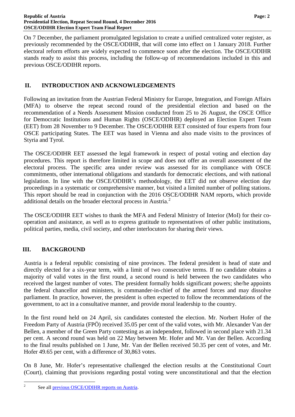On 7 December, the parliament promulgated legislation to create a unified centralized voter register, as previously recommended by the OSCE/ODIHR, that will come into effect on 1 January 2018. Further electoral reform efforts are widely expected to commence soon after the election. The OSCE/ODIHR stands ready to assist this process, including the follow-up of recommendations included in this and previous OSCE/ODIHR reports.

## <span id="page-3-0"></span>**II. INTRODUCTION AND ACKNOWLEDGEMENTS**

Following an invitation from the Austrian Federal Ministry for Europe, Integration, and Foreign Affairs (MFA) to observe the repeat second round of the presidential election and based on the recommendation of a Needs Assessment Mission conducted from 25 to 26 August, the OSCE Office for Democratic Institutions and Human Rights (OSCE/ODIHR) deployed an Election Expert Team (EET) from 28 November to 9 December. The OSCE/ODIHR EET consisted of four experts from four OSCE participating States. The EET was based in Vienna and also made visits to the provinces of Styria and Tyrol.

The OSCE/ODIHR EET assessed the legal framework in respect of postal voting and election day procedures. This report is therefore limited in scope and does not offer an overall assessment of the electoral process. The specific area under review was assessed for its compliance with OSCE commitments, other international obligations and standards for democratic elections, and with national legislation. In line with the OSCE/ODIHR's methodology, the EET did not observe election day proceedings in a systematic or comprehensive manner, but visited a limited number of polling stations. This report should be read in conjunction with the 2016 OSCE/ODIHR NAM reports, which provide additional details on the broader electoral process in Austria.<sup>[2](#page-3-2)</sup>

The OSCE/ODIHR EET wishes to thank the MFA and Federal Ministry of Interior (MoI) for their cooperation and assistance, as well as to express gratitude to representatives of other public institutions, political parties, media, civil society, and other interlocutors for sharing their views.

## <span id="page-3-1"></span>**III. BACKGROUND**

Austria is a federal republic consisting of nine provinces. The federal president is head of state and directly elected for a six-year term, with a limit of two consecutive terms. If no candidate obtains a majority of valid votes in the first round, a second round is held between the two candidates who received the largest number of votes. The president formally holds significant powers; she/he appoints the federal chancellor and ministers, is commander-in-chief of the armed forces and may dissolve parliament. In practice, however, the president is often expected to follow the recommendations of the government, to act in a consultative manner, and provide moral leadership to the country.

In the first round held on 24 April, six candidates contested the election. Mr. Norbert Hofer of the Freedom Party of Austria (FPÖ) received 35.05 per cent of the valid votes, with Mr. Alexander Van der Bellen, a member of the Green Party contesting as an independent, followed in second place with 21.34 per cent. A second round was held on 22 May between Mr. Hofer and Mr. Van der Bellen. According to the final results published on 1 June, Mr. Van der Bellen received 50.35 per cent of votes, and Mr. Hofer 49.65 per cent, with a difference of 30,863 votes.

On 8 June, Mr. Hofer's representative challenged the election results at the Constitutional Court (Court), claiming that provisions regarding postal voting were unconstitutional and that the election

<span id="page-3-2"></span><sup>&</sup>lt;sup>2</sup> See all [previous OSCE/ODIHR reports on Austria.](http://www.osce.org/odihr/elections/austria)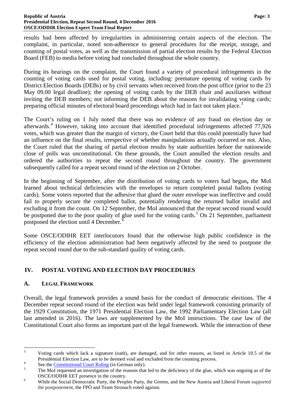results had been affected by irregularities in administering certain aspects of the election. The complaint, in particular, noted non-adherence to general procedures for the receipt, storage, and counting of postal votes, as well as the transmission of partial election results by the Federal Election Board (FEB) to media before voting had concluded throughout the whole country.

During its hearings on the complaint, the Court found a variety of procedural infringements in the counting of voting cards used for postal voting, including: premature opening of voting cards by District Election Boards (DEBs) or by civil servants when received from the post office (prior to the 23 May 09.00 legal deadline); the opening of voting cards by the DEB chair and auxiliaries without inviting the DEB members; not informing the DEB about the reasons for invalidating voting cards; preparing official minutes of electoral board proceedings which had in fact not taken place.<sup>[3](#page-4-2)</sup>

The Court's ruling on 1 July noted that there was no evidence of any fraud on election day or afterwards.[4](#page-4-3) However, taking into account that identified procedural infringements affected 77,926 votes, which was greater than the margin of victory, the Court held that this could potentially have had an influence on the final results, irrespective of whether manipulations actually occurred or not. Also, the Court ruled that the sharing of partial election results by state authorities before the nationwide close of polls was unconstitutional. On these grounds, the Court annulled the election results and ordered the authorities to repeat the second round throughout the country. The government subsequently called for a repeat second round of the election on 2 October.

In the beginning of September, after the distribution of voting cards to voters had begun**,** the MoI learned about technical deficiencies with the envelopes to return completed postal ballots (voting cards). Some voters reported that the adhesive that glued the outer envelope was ineffective and could fail to properly secure the completed ballot, potentially rendering the returned ballot invalid and excluding it from the count. On 12 September, the MoI announced that the repeat second round would be postponed due to the poor quality of glue used for the voting cards.<sup>[5](#page-4-4)</sup> On 21 September, parliament postponed the election until 4 December.<sup>[6](#page-4-5)</sup>

Some OSCE/ODIHR EET interlocutors found that the otherwise high public confidence in the efficiency of the election administration had been negatively affected by the need to postpone the repeat second round due to the sub-standard quality of voting cards.

## <span id="page-4-0"></span>**IV. POSTAL VOTING AND ELECTION DAY PROCEDURES**

## <span id="page-4-1"></span>**A. LEGAL FRAMEWORK**

Overall, the legal framework provides a sound basis for the conduct of democratic elections. The 4 December repeat second round of the election was held under legal framework consisting primarily of the 1929 Constitution, the 1971 Presidential Election Law, the 1992 Parliamentary Election Law (all last amended in 2016). The laws are supplemented by the MoI instructions. The case law of the Constitutional Court also forms an important part of the legal framework. While the interaction of these

<span id="page-4-2"></span><sup>&</sup>lt;sup>3</sup> Voting cards which lack a signature (oath), are damaged, and for other reasons, as listed in Article 10.5 of the Presidential Election Law, are to be deemed void and excluded from the counting process.<br>See the [Constitutional Court Ruling](https://www.vfgh.gv.at/downloads/w_i_6_2016.pdf) (in German only).<br>The MoI requested an investigation of the reasons that led to the deficiency of

<span id="page-4-3"></span>

<span id="page-4-4"></span>

<span id="page-4-5"></span>OSCE/ODIHR EET presence in the country.<br>
<sup>6</sup> While the Social Democratic Party, the Peoples Party, the Greens, and the New Austria and Liberal Forum supported the postponement, the FPÖ and Team Stronach voted against.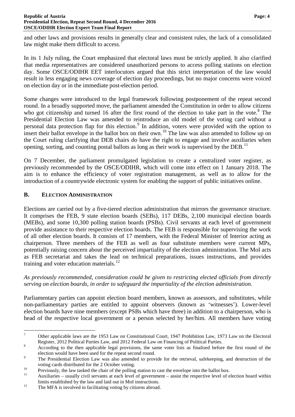and other laws and provisions results in generally clear and consistent rules, the lack of a consolidated law might make them difficult to access.

In its 1 July ruling, the Court emphasized that electoral laws must be strictly applied. It also clarified that media representatives are considered unauthorized persons to access polling stations on election day. Some OSCE/ODIHR EET interlocutors argued that this strict interpretation of the law would result in less engaging news coverage of election day proceedings, but no major concerns were voiced on election day or in the immediate post-election period.

Some changes were introduced to the legal framework following postponement of the repeat second round. In a broadly supported move, the parliament amended the Constitution in order to allow citizens who got citizenship and turned 16 after the first round of the election to take part in the vote.<sup>[8](#page-5-2)</sup> The Presidential Election Law was amended to reintroduce an old model of the voting card without a personal data protection flap for this election.<sup>[9](#page-5-3)</sup> In addition, voters were provided with the option to insert their ballot envelope in the ballot box on their own.<sup>[10](#page-5-4)</sup> The law was also amended to follow up on the Court ruling clarifying that DEB chairs do have the right to engage and involve auxiliaries when opening, sorting, and counting postal ballots as long as their work is supervised by the DEB.<sup>[11](#page-5-5)</sup>

On 7 December, the parliament promulgated legislation to create a centralized voter register, as previously recommended by the OSCE/ODIHR, which will come into effect on 1 January 2018. The aim is to enhance the efficiency of voter registration management, as well as to allow for the introduction of a countrywide electronic system for enabling the support of public initiatives online.

## <span id="page-5-0"></span>**B. ELECTION ADMINISTRATION**

Elections are carried out by a five-tiered election administration that mirrors the governance structure. It comprises the FEB, 9 state election boards (SEBs), 117 DEBs, 2,100 municipal election boards (MEBs), and some 10,300 polling station boards (PSBs). Civil servants at each level of government provide assistance to their respective election boards. The FEB is responsible for supervising the work of all other election boards. It consists of 17 members, with the Federal Minister of Interior acting as chairperson. Three members of the FEB as well as four substitute members were current MPs, potentially raising concern about the perceived impartiality of the election administration. The MoI acts as FEB secretariat and takes the lead on technical preparations, issues instructions, and provides training and voter education materials. $^{12}$  $^{12}$  $^{12}$ 

*As previously recommended, consideration could be given to restricting elected officials from directly serving on election boards, in order to safeguard the impartiality of the election administration.*

Parliamentary parties can appoint election board members, known as assessors, and substitutes, while non-parliamentary parties are entitled to appoint observers (known as 'witnesses'). Lower-level election boards have nine members (except PSBs which have three) in addition to a chairperson, who is head of the respective local government or a person selected by her/him. All members have voting

<span id="page-5-1"></span><sup>&</sup>lt;sup>7</sup> Other applicable laws are the 1953 Law on Constitutional Court, 1947 Prohibition Law, 1973 Law on the Electoral Register, 2012 Political Parties Law, and 2012 Federal Law on Financing of Political Parties.<br><sup>8</sup> According to the then applicable legal provisions, the same voter lists as finalised before the first round of the

<span id="page-5-2"></span>

<span id="page-5-3"></span>election would have been used for the repeat second round.<br><sup>9</sup> The Presidential Election Law was also amended to provide for the retrieval, safekeeping, and destruction of the

<span id="page-5-4"></span>

voting cards distributed for the 2 October voting.<br>
Previously, the law tasked the chair of the polling station to cast the envelope into the ballot box.<br>
Auxiliaries – usually civil servants at each level of government –

<span id="page-5-6"></span><span id="page-5-5"></span>limits established by the law and laid out in MoI instructions.<br><sup>12</sup> The MFA is involved in facilitating voting by citizens abroad.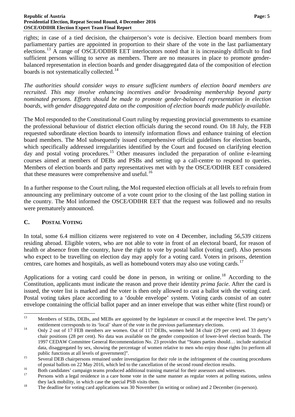#### **Republic of Austria Page: 5 Presidential Election, Repeat Second Round, 4 December 2016 OSCE/ODIHR Election Expert Team Final Report**

rights; in case of a tied decision, the chairperson's vote is decisive. Election board members from parliamentary parties are appointed in proportion to their share of the vote in the last parliamentary elections.<sup>[13](#page-6-1)</sup> A range of OSCE/ODIHR EET interlocutors noted that it is increasingly difficult to find sufficient persons willing to serve as members. There are no measures in place to promote genderbalanced representation in election boards and gender disaggregated data of the composition of election boards is not systematically collected.<sup>[14](#page-6-2)</sup>

*The authorities should consider ways to ensure sufficient numbers of election board members are recruited. This may involve enhancing incentives and/or broadening membership beyond party nominated persons. Efforts should be made to promote gender-balanced representation in election boards, with gender disaggregated data on the composition of election boards made publicly available.*

The MoI responded to the Constitutional Court ruling by requesting provincial governments to examine the professional behaviour of district election officials during the second round. On 18 July, the FEB requested subordinate election boards to intensify information flows and enhance training of election board members. The MoI subsequently issued comprehensive official guidelines for election boards, which specifically addressed irregularities identified by the Court and focused on clarifying election day and postal voting procedures.<sup>[15](#page-6-3)</sup> Other measures included the preparation of online e-learning courses aimed at members of DEBs and PSBs and setting up a call-centre to respond to queries. Members of election boards and party representatives met with by the OSCE/ODIHR EET considered that these measures were comprehensive and useful.<sup>[16](#page-6-4)</sup>

In a further response to the Court ruling, the MoI requested election officials at all levels to refrain from announcing any preliminary outcome of a vote count prior to the closing of the last polling station in the country. The MoI informed the OSCE/ODIHR EET that the request was followed and no results were prematurely announced.

## <span id="page-6-0"></span>**C. POSTAL VOTING**

In total, some 6.4 million citizens were registered to vote on 4 December, including 56,539 citizens residing abroad. Eligible voters, who are not able to vote in front of an electoral board, for reason of health or absence from the country, have the right to vote by postal ballot (voting card). Also persons who expect to be travelling on election day may apply for a voting card. Voters in prisons, detention centres, care homes and hospitals, as well as homebound voters may also use voting cards.<sup>[17](#page-6-5)</sup>

Applications for a voting card could be done in person, in writing or online.<sup>[18](#page-6-6)</sup> According to the Constitution, applicants must indicate the reason and prove their identity *prima facie*. After the card is issued, the voter list is marked and the voter is then only allowed to cast a ballot with the voting card. Postal voting takes place according to a 'double envelope' system. Voting cards consist of an outer envelope containing the official ballot paper and an inner envelope that was either white (first round) or

<span id="page-6-1"></span><sup>&</sup>lt;sup>13</sup> Members of SEBs, DEBs, and MEBs are appointed by the legislature or council at the respective level. The party's entitlement corresponds to its 'local' share of the vote in the previous parliamentary elections.<br><sup>14</sup> Only 2 out of 17 FEB members are women. Out of 117 DEBs, women held 34 chair (29 per cent) and 33 deputy

<span id="page-6-2"></span>chair positions (28 per cent). No data was available on the gender composition of lower-level election boards. The 1997 CEDAW Committee General Recommendation No. 23 provides that "States parties should… include statistical data, disaggregated by sex, showing the percentage of women relative to men who enjoy those rights [to perform all public functions at all levels of government]".<br>Several DEB chairpersons remained under investigation for their role in the infringement of the counting procedures

<span id="page-6-4"></span><span id="page-6-3"></span>of postal ballots on 22 May 2016, which led to the cancellation of the second round election results.<br>Both candidates' campaign teams produced additional training material for their assessors and witnesses.<br>Persons with a

<span id="page-6-6"></span><span id="page-6-5"></span>they lack mobility, in which case the special PSB visits them.<br><sup>18</sup> The deadline for voting card applications was 30 November (in writing or online) and 2 December (in-person).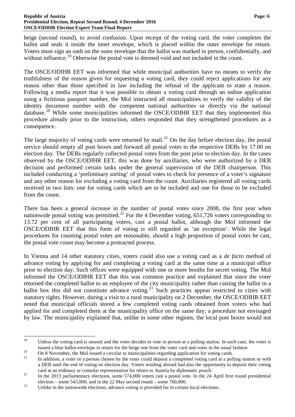beige (second round), to avoid confusion. Upon receipt of the voting card, the voter completes the ballot and seals it inside the inner envelope, which is placed within the outer envelope for return. Voters must sign an oath on the outer envelope that the ballot was marked in person, confidentially, and without influence.<sup>[19](#page-7-0)</sup> Otherwise the postal vote is deemed void and not included in the count.

The OSCE/ODIHR EET was informed that while municipal authorities have no means to verify the truthfulness of the reason given for requesting a voting card, they could reject applications for any reason other than those specified in law including the refusal of the applicant to state a reason. Following a media report that it was possible to obtain a voting card through an online application using a fictitious passport number, the MoI instructed all municipalities to verify the validity of the identity document number with the competent national authorities or directly via the national database.<sup>[20](#page-7-1)</sup> While some municipalities informed the OSCE/ODIHR EET that they implemented this procedure already prior to the instruction, others responded that they strengthened procedures as a consequence.

The large majority of voting cards were returned by mail.<sup>[21](#page-7-2)</sup> On the day before election day, the postal service should empty all post boxes and forward all postal votes to the respective DEBs by 17.00 on election day. The DEBs regularly collected postal votes from the post prior to election day. In the cases observed by the OSCE/ODIHR EET, this was done by auxiliaries, who were authorized by a DEB decision and performed certain tasks under the general supervision of the DEB chairperson. This included conducting a 'preliminary sorting' of postal votes to check for presence of a voter's signature and any other reason for excluding a voting card from the count. Auxiliaries registered all voting cards received in two lists: one for voting cards which are to be included and one for those to be excluded from the count.

There has been a general increase in the number of postal votes since 2008, the first year when nationwide postal voting was permitted.<sup>[22](#page-7-3)</sup> For the 4 December voting,  $651,726$  voters corresponding to 13.72 per cent of all participating voters, cast a postal ballot, although the MoI informed the OSCE/ODIHR EET that this form of voting is still regarded as 'an exception'. While the legal procedures for counting postal votes are reasonable, should a high proportion of postal votes be cast, the postal vote count may become a protracted process.

In Vienna and 14 other statutory cities, voters could also use a voting card as a *de facto* method of advance voting by applying for and completing a voting card at the same time at a municipal office prior to election day. Such offices were equipped with one or more booths for secret voting. The MoI informed the OSCE/ODIHR EET that this was common practice and explained that since the voter returned the completed ballot to an employee of the city municipality rather than casting the ballot in a ballot box this did not constitute advance voting.<sup>[23](#page-7-4)</sup> Such practices appear restricted to cities with statutory rights. However, during a visit to a rural municipality on 2 December, the OSCE/ODIHR EET noted that municipal officials stored a few completed voting cards obtained from voters who had applied for and completed them at the municipality office on the same day; a procedure not envisaged by law. The municipality explained that, unlike in some other regions, the local post boxes would not

<span id="page-7-0"></span><sup>&</sup>lt;sup>19</sup> Unless the voting card is unused and the voter decides to vote in person at a polling station. In such case, the voter is issued a blue ballot envelope in return for the beige one from the voter card and votes in the usual fashion.<br>
On 8 November, the MoI issued a circular to municipalities regarding application for voting cards.<br>
In addition

<span id="page-7-1"></span>

<span id="page-7-2"></span>a DEB until the end of voting on election day. Voters residing abroad had also the opportunity to deposit their voting card at an embassy or consular representation for return to Austria by diplomatic pouch.<br><sup>22</sup> In the 2013 parliamentary elections, some 574,000 voters cast a postal vote. In the 24 April first round presidential

<span id="page-7-3"></span>election – some 543,000, and in the 22 May second round – some 760,000.<br>Unlike in the nationwide elections, advance voting is provided for in certain local elections.

<span id="page-7-4"></span>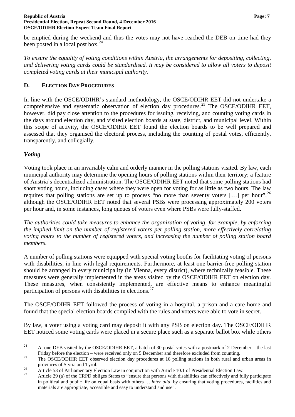be emptied during the weekend and thus the votes may not have reached the DEB on time had they been posted in a local post box.<sup>[24](#page-8-1)</sup>

*To ensure the equality of voting conditions within Austria, the arrangements for depositing, collecting, and delivering voting cards could be standardised. It may be considered to allow all voters to deposit completed voting cards at their municipal authority.*

## <span id="page-8-0"></span>**D. ELECTION DAY PROCEDURES**

In line with the OSCE/ODIHR's standard methodology, the OSCE/ODIHR EET did not undertake a comprehensive and systematic observation of election day procedures.<sup>[25](#page-8-2)</sup> The OSCE/ODIHR EET, however, did pay close attention to the procedures for issuing, receiving, and counting voting cards in the days around election day, and visited election boards at state, district, and municipal level. Within this scope of activity, the OSCE/ODIHR EET found the election boards to be well prepared and assessed that they organised the electoral process, including the counting of postal votes, efficiently, transparently, and collegially.

## *Voting*

Voting took place in an invariably calm and orderly manner in the polling stations visited. By law, each municipal authority may determine the opening hours of polling stations within their territory; a feature of Austria's decentralized administration. The OSCE/ODIHR EET noted that some polling stations had short voting hours, including cases where they were open for voting for as little as two hours. The law requires that polling stations are set up to process "no more than seventy voters  $[...]$  per hour",  $^{26}$  $^{26}$  $^{26}$ although the OSCE/ODIHR EET noted that several PSBs were processing approximately 200 voters per hour and, in some instances, long queues of voters even where PSBs were fully-staffed.

*The authorities could take measures to enhance the organization of voting, for example, by enforcing the implied limit on the number of registered voters per polling station, more effectively correlating voting hours to the number of registered voters, and increasing the number of polling station board members.*

A number of polling stations were equipped with special voting booths for facilitating voting of persons with disabilities, in line with legal requirements. Furthermore, at least one barrier-free polling station should be arranged in every municipality (in Vienna, every district), where technically feasible. These measures were generally implemented in the areas visited by the OSCE/ODIHR EET on election day. These measures, when consistently implemented, are effective means to enhance meaningful participation of persons with disabilities in elections.<sup>[27](#page-8-4)</sup>

The OSCE/ODIHR EET followed the process of voting in a hospital, a prison and a care home and found that the special election boards complied with the rules and voters were able to vote in secret.

By law, a voter using a voting card may deposit it with any PSB on election day. The OSCE/ODIHR EET noticed some voting cards were placed in a secure place such as a separate ballot box while others

<span id="page-8-1"></span><sup>&</sup>lt;sup>24</sup> At one DEB visited by the OSCE/ODIHR EET, a batch of 30 postal votes with a postmark of 2 December – the last

<span id="page-8-2"></span>Friday before the election – were received only on 5 December and therefore excluded from counting.<br><sup>25</sup> The OSCE/ODIHR EET observed election day procedures at 16 polling stations in both rural and urban areas in

<span id="page-8-4"></span>

<span id="page-8-3"></span>provinces of Styria and Tyrol.<br>Article 53 of Parliamentary Election Law in conjunction with Article 10.1 of Presidential Election Law.<br>Article 29 (a) of the CRPD obliges States to "ensure that persons with disabilities can in political and public life on equal basis with others … *inter alia*, by ensuring that voting procedures, facilities and materials are appropriate, accessible and easy to understand and use".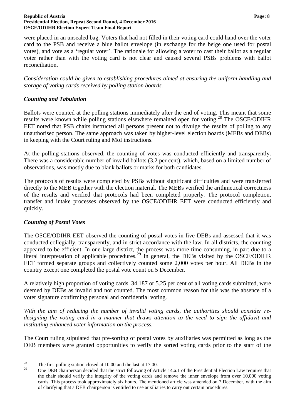#### **Republic of Austria Page: 8 Presidential Election, Repeat Second Round, 4 December 2016 OSCE/ODIHR Election Expert Team Final Report**

were placed in an unsealed bag. Voters that had not filled in their voting card could hand over the voter card to the PSB and receive a blue ballot envelope (in exchange for the beige one used for postal votes), and vote as a 'regular voter'. The rationale for allowing a voter to cast their ballot as a regular voter rather than with the voting card is not clear and caused several PSBs problems with ballot reconciliation.

*Consideration could be given to establishing procedures aimed at ensuring the uniform handling and storage of voting cards received by polling station boards.*

## *Counting and Tabulation*

Ballots were counted at the polling stations immediately after the end of voting. This meant that some results were known while polling stations elsewhere remained open for voting.[28](#page-9-0) The OSCE/ODIHR EET noted that PSB chairs instructed all persons present not to divulge the results of polling to any unauthorised person. The same approach was taken by higher-level election boards (MEBs and DEBs) in keeping with the Court ruling and MoI instructions.

At the polling stations observed, the counting of votes was conducted efficiently and transparently. There was a considerable number of invalid ballots (3.2 per cent), which, based on a limited number of observations, was mostly due to blank ballots or marks for both candidates.

The protocols of results were completed by PSBs without significant difficulties and were transferred directly to the MEB together with the election material. The MEBs verified the arithmetical correctness of the results and verified that protocols had been completed properly. The protocol completion, transfer and intake processes observed by the OSCE/ODIHR EET were conducted efficiently and quickly.

## *Counting of Postal Votes*

The OSCE/ODIHR EET observed the counting of postal votes in five DEBs and assessed that it was conducted collegially, transparently, and in strict accordance with the law. In all districts, the counting appeared to be efficient. In one large district, the process was more time consuming, in part due to a literal interpretation of applicable procedures.<sup>[29](#page-9-1)</sup> In general, the DEBs visited by the OSCE/ODIHR EET formed separate groups and collectively counted some 2,000 votes per hour. All DEBs in the country except one completed the postal vote count on 5 December.

A relatively high proportion of voting cards, 34,187 or 5.25 per cent of all voting cards submitted, were deemed by DEBs as invalid and not counted. The most common reason for this was the absence of a voter signature confirming personal and confidential voting.

*With the aim of reducing the number of invalid voting cards, the authorities should consider redesigning the voting card in a manner that draws attention to the need to sign the affidavit and instituting enhanced voter information on the process.*

The Court ruling stipulated that pre-sorting of postal votes by auxiliaries was permitted as long as the DEB members were granted opportunities to verify the sorted voting cards prior to the start of the

<span id="page-9-1"></span><span id="page-9-0"></span><sup>&</sup>lt;sup>28</sup> The first polling station closed at 10.00 and the last at 17.00.

<sup>29</sup> One DEB chairperson decided that the strict following of Article 14.a.1 of the Presidential Election Law requires that the chair should verify the integrity of the voting cards and remove the inner envelope from over 10,000 voting cards. This process took approximately six hours. The mentioned article was amended on 7 December, with the aim of clarifying that a DEB chairperson is entitled to use auxiliaries to carry out certain procedures.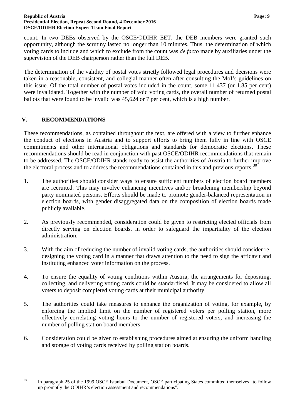count. In two DEBs observed by the OSCE/ODIHR EET, the DEB members were granted such opportunity, although the scrutiny lasted no longer than 10 minutes. Thus, the determination of which voting cards to include and which to exclude from the count was *de facto* made by auxiliaries under the supervision of the DEB chairperson rather than the full DEB.

The determination of the validity of postal votes strictly followed legal procedures and decisions were taken in a reasonable, consistent, and collegial manner often after consulting the MoI's guidelines on this issue. Of the total number of postal votes included in the count, some 11,437 (or 1.85 per cent) were invalidated. Together with the number of void voting cards, the overall number of returned postal ballots that were found to be invalid was 45,624 or 7 per cent, which is a high number.

## <span id="page-10-0"></span>**V. RECOMMENDATIONS**

These recommendations, as contained throughout the text, are offered with a view to further enhance the conduct of elections in Austria and to support efforts to bring them fully in line with OSCE commitments and other international obligations and standards for democratic elections. These recommendations should be read in conjunction with past OSCE/ODIHR recommendations that remain to be addressed. The OSCE/ODIHR stands ready to assist the authorities of Austria to further improve the electoral process and to address the recommendations contained in this and previous reports.<sup>[30](#page-10-2)</sup>

- 1. The authorities should consider ways to ensure sufficient numbers of election board members are recruited. This may involve enhancing incentives and/or broadening membership beyond party nominated persons. Efforts should be made to promote gender-balanced representation in election boards, with gender disaggregated data on the composition of election boards made publicly available.
- 2. As previously recommended, consideration could be given to restricting elected officials from directly serving on election boards, in order to safeguard the impartiality of the election administration.
- 3. With the aim of reducing the number of invalid voting cards, the authorities should consider redesigning the voting card in a manner that draws attention to the need to sign the affidavit and instituting enhanced voter information on the process.
- 4. To ensure the equality of voting conditions within Austria, the arrangements for depositing, collecting, and delivering voting cards could be standardised. It may be considered to allow all voters to deposit completed voting cards at their municipal authority.
- 5. The authorities could take measures to enhance the organization of voting, for example, by enforcing the implied limit on the number of registered voters per polling station, more effectively correlating voting hours to the number of registered voters, and increasing the number of polling station board members.
- <span id="page-10-1"></span>6. Consideration could be given to establishing procedures aimed at ensuring the uniform handling and storage of voting cards received by polling station boards.

<span id="page-10-2"></span><sup>&</sup>lt;sup>30</sup> In paragraph 25 of the 1999 OSCE Istanbul Document, OSCE participating States committed themselves "to follow up promptly the ODIHR's election assessment and recommendations".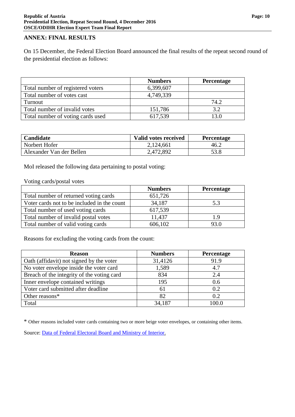### **ANNEX: FINAL RESULTS**

On 15 December, the Federal Election Board announced the final results of the repeat second round of the presidential election as follows:

|                                   | <b>Numbers</b> | <b>Percentage</b> |
|-----------------------------------|----------------|-------------------|
| Total number of registered voters | 6,399,607      |                   |
| Total number of votes cast        | 4,749,339      |                   |
| Turnout                           |                | 74.2              |
| Total number of invalid votes     | 151,786        | 3.2               |
| Total number of voting cards used | 617,539        | 13.0              |

| <b>Candidate</b>         | Valid votes received | Percentage |
|--------------------------|----------------------|------------|
| Norbert Hofer            | 2,124,661            | 46.2       |
| Alexander Van der Bellen | 2,472,892            | 53.8       |

MoI released the following data pertaining to postal voting:

#### Voting cards/postal votes

|                                             | <b>Numbers</b> | <b>Percentage</b> |
|---------------------------------------------|----------------|-------------------|
| Total number of returned voting cards       | 651,726        |                   |
| Voter cards not to be included in the count | 34,187         | 5.3               |
| Total number of used voting cards           | 617,539        |                   |
| Total number of invalid postal votes        | 11,437         | 1.9               |
| Total number of valid voting cards          | 606,102        | 93.0              |

Reasons for excluding the voting cards from the count:

| <b>Reason</b>                              | <b>Numbers</b> | Percentage |
|--------------------------------------------|----------------|------------|
| Oath (affidavit) not signed by the voter   | 31,4126        | 91.9       |
| No voter envelope inside the voter card    | 1,589          | 4.7        |
| Breach of the integrity of the voting card | 834            | 2.4        |
| Inner envelope contained writings          | 195            | 0.6        |
| Voter card submitted after deadline        | 61             | 0.2        |
| Other reasons*                             | 82             | 0.2        |
| Total                                      | 34,187         | 100.0      |

\* Other reasons included voter cards containing two or more beige voter envelopes, or containing other items.

Source: [Data of Federal Electoral Board and Ministry of Interior.](http://www.bmi.gv.at/cms/BMI_wahlen/bundespraes/bpw_2016/Ergebnis_2WG_WH.aspx)